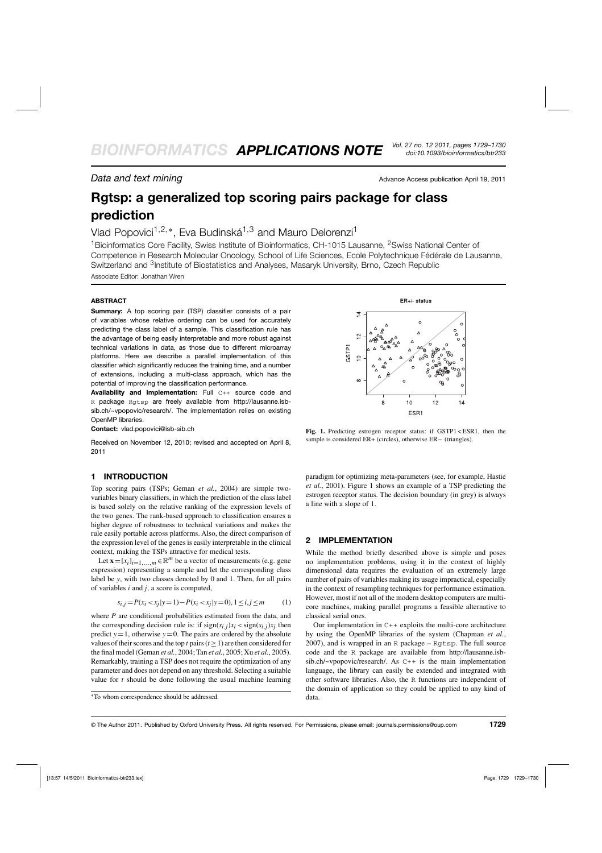**Data and text mining**  $\overline{a}$  Advance Access publication April 19, 2011

# **Rgtsp: a generalized top scoring pairs package for class prediction**

## Vlad Popovici<sup>1,2,∗</sup>, Eva Budinská<sup>1,3</sup> and Mauro Delorenzi<sup>1</sup>

<sup>1</sup> Bioinformatics Core Facility. Swiss Institute of Bioinformatics, CH-1015 Lausanne, <sup>2</sup> Swiss National Center of Competence in Research Molecular Oncology, School of Life Sciences, Ecole Polytechnique Fédérale de Lausanne, Switzerland and 3Institute of Biostatistics and Analyses, Masaryk University, Brno, Czech Republic Associate Editor: Jonathan Wren

#### **ABSTRACT**

**Summary:** A top scoring pair (TSP) classifier consists of a pair of variables whose relative ordering can be used for accurately predicting the class label of a sample. This classification rule has the advantage of being easily interpretable and more robust against technical variations in data, as those due to different microarray platforms. Here we describe a parallel implementation of this classifier which significantly reduces the training time, and a number of extensions, including a multi-class approach, which has the potential of improving the classification performance.

**Availability and Implementation:** Full C++ source code and R package Rgtsp are freely available from http://lausanne.isbsib.ch/~vpopovic/research/. The implementation relies on existing OpenMP libraries.

**Contact:** vlad.popovici@isb-sib.ch

Received on November 12, 2010; revised and accepted on April 8, 2011

#### **1 INTRODUCTION**

Top scoring pairs (TSPs; Geman *et al.*, 2004) are simple twovariables binary classifiers, in which the prediction of the class label is based solely on the relative ranking of the expression levels of the two genes. The rank-based approach to classification ensures a higher degree of robustness to technical variations and makes the rule easily portable across platforms. Also, the direct comparison of the expression level of the genes is easily interpretable in the clinical context, making the TSPs attractive for medical tests.

Let  $\mathbf{x} = [x_i]_{i=1,\dots,m} \in \mathbb{R}^m$  be a vector of measurements (e.g. gene expression) representing a sample and let the corresponding class label be *y*, with two classes denoted by 0 and 1. Then, for all pairs of variables *i* and *j*, a score is computed,

$$
s_{i,j} = P(x_i < x_j | y = 1) - P(x_i < x_j | y = 0), \quad 1 \le i, j \le m \tag{1}
$$

where *P* are conditional probabilities estimated from the data, and the corresponding decision rule is: if  $sign(s_{i,j})x_i \leq sign(s_{i,j})x_i$  then predict  $y = 1$ , otherwise  $y = 0$ . The pairs are ordered by the absolute values of their scores and the top *t* pairs ( $t \ge 1$ ) are then considered for the final model (Geman *et al.*, 2004; Tan *et al.*, 2005; Xu *et al.*, 2005). Remarkably, training a TSP does not require the optimization of any parameter and does not depend on any threshold. Selecting a suitable value for *t* should be done following the usual machine learning



**Fig. 1.** Predicting estrogen receptor status: if GSTP1 < ESR1, then the sample is considered ER+ (circles), otherwise ER− (triangles).

paradigm for optimizing meta-parameters (see, for example, Hastie *et al.*, 2001). Figure 1 shows an example of a TSP predicting the estrogen receptor status. The decision boundary (in grey) is always a line with a slope of 1.

### **2 IMPLEMENTATION**

While the method briefly described above is simple and poses no implementation problems, using it in the context of highly dimensional data requires the evaluation of an extremely large number of pairs of variables making its usage impractical, especially in the context of resampling techniques for performance estimation. However, most if not all of the modern desktop computers are multicore machines, making parallel programs a feasible alternative to classical serial ones.

Our implementation in C++ exploits the multi-core architecture by using the OpenMP libraries of the system (Chapman *et al.*, 2007), and is wrapped in an R package – Rgtsp. The full source code and the R package are available from http://lausanne.isbsib.ch/~vpopovic/research/. As C++ is the main implementation language, the library can easily be extended and integrated with other software libraries. Also, the R functions are independent of the domain of application so they could be applied to any kind of data.

<sup>∗</sup>To whom correspondence should be addressed.